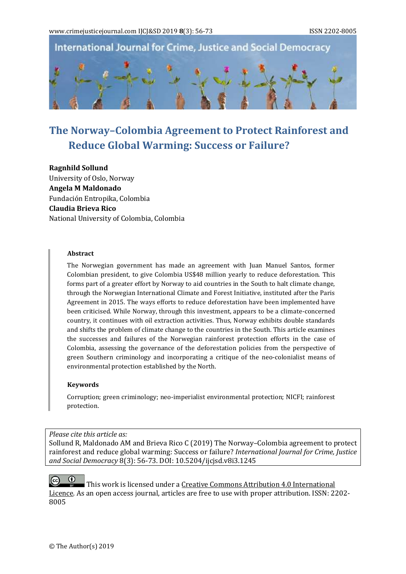International Journal for Crime, Justice and Social Democracy



# **The Norway–Colombia Agreement to Protect Rainforest and Reduce Global Warming: Success or Failure?**

**Ragnhild Sollund** University of Oslo, Norway **Angela M Maldonado**  Fundación Entropika, Colombia **Claudia Brieva Rico** National University of Colombia, Colombia

#### **Abstract**

The Norwegian government has made an agreement with Juan Manuel Santos, former Colombian president, to give Colombia US\$48 million yearly to reduce deforestation. This forms part of a greater effort by Norway to aid countries in the South to halt climate change, through the Norwegian International Climate and Forest Initiative, instituted after the Paris Agreement in 2015. The ways efforts to reduce deforestation have been implemented have been criticised. While Norway, through this investment, appears to be a climate-concerned country, it continues with oil extraction activities. Thus, Norway exhibits double standards and shifts the problem of climate change to the countries in the South. This article examines the successes and failures of the Norwegian rainforest protection efforts in the case of Colombia, assessing the governance of the deforestation policies from the perspective of green Southern criminology and incorporating a critique of the neo-colonialist means of environmental protection established by the North.

#### **Keywords**

Corruption; green criminology; neo-imperialist environmental protection; NICFI; rainforest protection.

## *Please cite this article as:*

Sollund R, Maldonado AM and Brieva Rico C (2019) The Norway–Colombia agreement to protect rainforest and reduce global warming: Success or failure? *International Journal for Crime, Justice and Social Democracy* 8(3): 56-73. DOI: 10.5204/ijcjsd.v8i3.1245

 $\bullet$  $(cc)$ This work is licensed under a Creative Commons Attribution 4.0 International [Licence.](https://creativecommons.org/licenses/by/4.0/) As an open access journal, articles are free to use with proper attribution. ISSN: 2202- 8005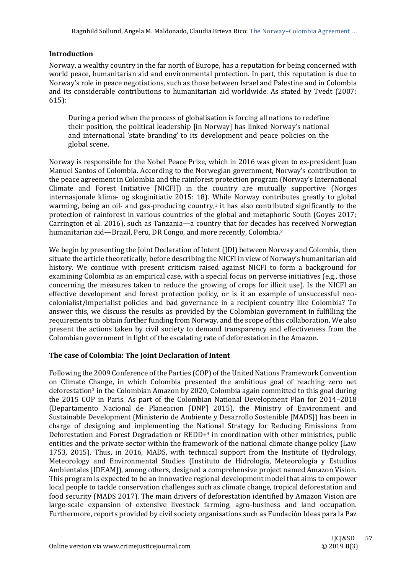## **Introduction**

Norway, a wealthy country in the far north of Europe, has a reputation for being concerned with world peace, humanitarian aid and environmental protection. In part, this reputation is due to Norway's role in peace negotiations, such as those between Israel and Palestine and in Colombia and its considerable contributions to humanitarian aid worldwide. As stated by Tvedt (2007: 615):

During a period when the process of globalisation is forcing all nations to redefine their position, the political leadership [in Norway] has linked Norway's national and international 'state branding' to its development and peace policies on the global scene.

Norway is responsible for the Nobel Peace Prize, which in 2016 was given to ex-president Juan Manuel Santos of Colombia. According to the Norwegian government, Norway's contribution to the peace agreement in Colombia and the rainforest protection program (Norway's International Climate and Forest Initiative [NICFI]) in the country are mutually supportive (Norges internasjonale klima- og skoginitiativ 2015: 18). While Norway contributes greatly to global warming, being an oil- and gas-producing country, $1$  it has also contributed significantly to the protection of rainforest in various countries of the global and metaphoric South (Goyes 2017; Carrington et al. 2016), such as Tanzania—a country that for decades has received Norwegian humanitarian aid—Brazil, Peru, DR Congo, and more recently, Colombia.<sup>2</sup>

We begin by presenting the Joint Declaration of Intent (JDI) between Norway and Colombia, then situate the article theoretically, before describing the NICFI in view of Norway's humanitarian aid history. We continue with present criticism raised against NICFI to form a background for examining Colombia as an empirical case, with a special focus on perverse initiatives (e.g., those concerning the measures taken to reduce the growing of crops for illicit use). Is the NICFI an effective development and forest protection policy, or is it an example of unsuccessful neocolonialist/imperialist policies and bad governance in a recipient country like Colombia? To answer this, we discuss the results as provided by the Colombian government in fulfilling the requirements to obtain further funding from Norway, and the scope of this collaboration. We also present the actions taken by civil society to demand transparency and effectiveness from the Colombian government in light of the escalating rate of deforestation in the Amazon.

## **The case of Colombia: The Joint Declaration of Intent**

Following the 2009 Conference of the Parties (COP) of the United Nations Framework Convention on Climate Change, in which Colombia presented the ambitious goal of reaching zero net deforestation<sup>3</sup> in the Colombian Amazon by 2020, Colombia again committed to this goal during the 2015 COP in Paris. As part of the Colombian National Development Plan for 2014–2018 (Departamento Nacional de Planeacion [DNP] 2015), the Ministry of Environment and Sustainable Development (Ministerio de Ambiente y Desarrollo Sostenible [MADS]) has been in charge of designing and implementing the National Strategy for Reducing Emissions from Deforestation and Forest Degradation or REDD+<sup>4</sup> in coordination with other ministries, public entities and the private sector within the framework of the national climate change policy (Law 1753, 2015). Thus, in 2016, MADS, with technical support from the Institute of Hydrology, Meteorology and Environmental Studies (Instituto de Hidrología, Meteorología y Estudios Ambientales [IDEAM]), among others, designed a comprehensive project named Amazon Vision. This program is expected to be an innovative regional development model that aims to empower local people to tackle conservation challenges such as climate change, tropical deforestation and food security (MADS 2017). The main drivers of deforestation identified by Amazon Vision are large-scale expansion of extensive livestock farming, agro-business and land occupation. Furthermore, reports provided by civil society organisations such as Fundación Ideas para la Paz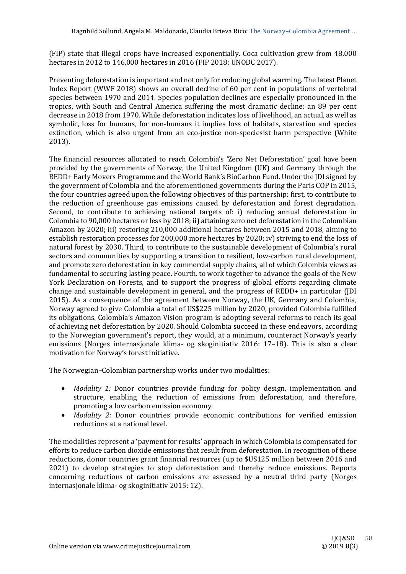(FIP) state that illegal crops have increased exponentially. Coca cultivation grew from 48,000 hectares in 2012 to 146,000 hectares in 2016 (FIP 2018; UNODC 2017).

Preventing deforestation is important and not only for reducing global warming. The latest Planet Index Report (WWF 2018) shows an overall decline of 60 per cent in populations of vertebral species between 1970 and 2014. Species population declines are especially pronounced in the tropics, with South and Central America suffering the most dramatic decline: an 89 per cent decrease in 2018 from 1970. While deforestation indicates loss of livelihood, an actual, as well as symbolic, loss for humans, for non-humans it implies loss of habitats, starvation and species extinction, which is also urgent from an eco-justice non-speciesist harm perspective (White 2013).

The financial resources allocated to reach Colombia's 'Zero Net Deforestation' goal have been provided by the governments of Norway, the United Kingdom (UK) and Germany through the REDD+ Early Movers Programme and the World Bank's BioCarbon Fund. Under the JDI signed by the government of Colombia and the aforementioned governments during the Paris COP in 2015, the four countries agreed upon the following objectives of this partnership: first, to contribute to the reduction of greenhouse gas emissions caused by deforestation and forest degradation. Second, to contribute to achieving national targets of: i) reducing annual deforestation in Colombia to 90,000 hectares or less by 2018; ii) attaining zero net deforestation in the Colombian Amazon by 2020; iii) restoring 210,000 additional hectares between 2015 and 2018, aiming to establish restoration processes for 200,000 more hectares by 2020; iv) striving to end the loss of natural forest by 2030. Third, to contribute to the sustainable development of Colombia's rural sectors and communities by supporting a transition to resilient, low-carbon rural development, and promote zero deforestation in key commercial supply chains, all of which Colombia views as fundamental to securing lasting peace. Fourth, to work together to advance the goals of the New York Declaration on Forests, and to support the progress of global efforts regarding climate change and sustainable development in general, and the progress of REDD+ in particular (JDI 2015). As a consequence of the agreement between Norway, the UK, Germany and Colombia, Norway agreed to give Colombia a total of US\$225 million by 2020, provided Colombia fulfilled its obligations. Colombia's Amazon Vision program is adopting several reforms to reach its goal of achieving net deforestation by 2020. Should Colombia succeed in these endeavors, according to the Norwegian government's report, they would, at a minimum, counteract Norway's yearly emissions (Norges internasjonale klima- og skoginitiativ 2016: 17–18). This is also a clear motivation for Norway's forest initiative.

The Norwegian–Colombian partnership works under two modalities:

- *Modality 1:* Donor countries provide funding for policy design, implementation and structure, enabling the reduction of emissions from deforestation, and therefore, promoting a low carbon emission economy.
- *Modality 2:* Donor countries provide economic contributions for verified emission reductions at a national level.

The modalities represent a 'payment for results' approach in which Colombia is compensated for efforts to reduce carbon dioxide emissions that result from deforestation. In recognition of these reductions, donor countries grant financial resources (up to \$US125 million between 2016 and 2021) to develop strategies to stop deforestation and thereby reduce emissions. Reports concerning reductions of carbon emissions are assessed by a neutral third party (Norges internasjonale klima- og skoginitiativ 2015: 12).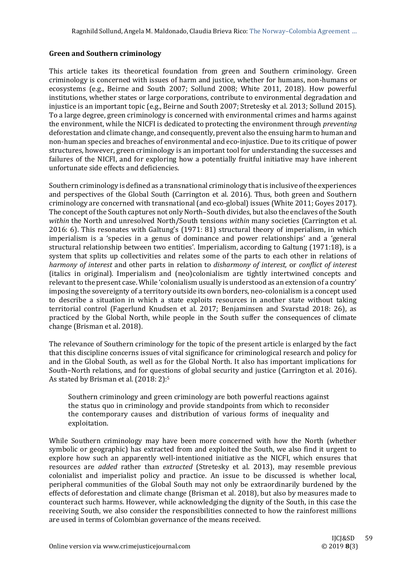## **Green and Southern criminology**

This article takes its theoretical foundation from green and Southern criminology. Green criminology is concerned with issues of harm and justice, whether for humans, non-humans or ecosystems (e.g., Beirne and South 2007; Sollund 2008; White 2011, 2018). How powerful institutions, whether states or large corporations, contribute to environmental degradation and injustice is an important topic (e.g., Beirne and South 2007; Stretesky et al. 2013; Sollund 2015). To a large degree, green criminology is concerned with environmental crimes and harms against the environment, while the NICFI is dedicated to protecting the environment through *preventing* deforestation and climate change, and consequently, prevent also the ensuing harm to human and non-human species and breaches of environmental and eco-injustice. Due to its critique of power structures, however, green criminology is an important tool for understanding the successes and failures of the NICFI, and for exploring how a potentially fruitful initiative may have inherent unfortunate side effects and deficiencies.

Southern criminology is defined as a transnational criminology that is inclusive of the experiences and perspectives of the Global South (Carrington et al. 2016). Thus, both green and Southern criminology are concerned with transnational (and eco-global) issues (White 2011; Goyes 2017). The concept of the South captures not only North–South divides, but also the enclaves of the South *within* the North and unresolved North/South tensions *within* many societies (Carrington et al. 2016: 6). This resonates with Galtung's (1971: 81) structural theory of imperialism, in which imperialism is a 'species in a genus of dominance and power relationships' and a 'general structural relationship between two entities'. Imperialism, according to Galtung (1971:18), is a system that splits up collectivities and relates some of the parts to each other in relations of *harmony of interest* and other parts in relation to *disharmony of interest,* or *conflict of interest*  (italics in original). Imperialism and (neo)colonialism are tightly intertwined concepts and relevant to the present case. While 'colonialism usually is understood as an extension of a country' imposing the sovereignty of a territory outside its own borders, neo-colonialism is a concept used to describe a situation in which a state exploits resources in another state without taking territorial control (Fagerlund Knudsen et al. 2017; Benjaminsen and Svarstad 2018: 26), as practiced by the Global North, while people in the South suffer the consequences of climate change (Brisman et al. 2018).

The relevance of Southern criminology for the topic of the present article is enlarged by the fact that this discipline concerns issues of vital significance for criminological research and policy for and in the Global South, as well as for the Global North. It also has important implications for South–North relations, and for questions of global security and justice (Carrington et al. 2016). As stated by Brisman et al. (2018: 2):<sup>5</sup>

Southern criminology and green criminology are both powerful reactions against the status quo in criminology and provide standpoints from which to reconsider the contemporary causes and distribution of various forms of inequality and exploitation.

While Southern criminology may have been more concerned with how the North (whether symbolic or geographic) has extracted from and exploited the South, we also find it urgent to explore how such an apparently well-intentioned initiative as the NICFI, which ensures that resources are *added* rather than *extracted* (Stretesky et al. 2013), may resemble previous colonialist and imperialist policy and practice. An issue to be discussed is whether local, peripheral communities of the Global South may not only be extraordinarily burdened by the effects of deforestation and climate change (Brisman et al. 2018), but also by measures made to counteract such harms. However, while acknowledging the dignity of the South, in this case the receiving South, we also consider the responsibilities connected to how the rainforest millions are used in terms of Colombian governance of the means received.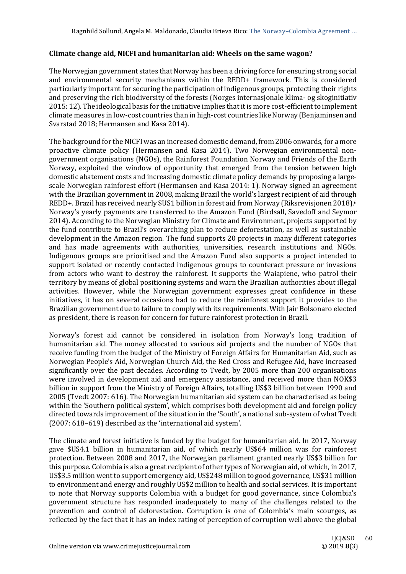## **Climate change aid, NICFI and humanitarian aid: Wheels on the same wagon?**

The Norwegian government states that Norway has been a driving force for ensuring strong social and environmental security mechanisms within the REDD+ framework. This is considered particularly important for securing the participation of indigenous groups, protecting their rights and preserving the rich biodiversity of the forests (Norges internasjonale klima- og skoginitiativ 2015: 12). The ideological basis for the initiative implies that it is more cost-efficient to implement climate measures in low-cost countries than in high-cost countries like Norway (Benjaminsen and Svarstad 2018; Hermansen and Kasa 2014).

The background for the NICFI was an increased domestic demand, from 2006 onwards, for a more proactive climate policy (Hermansen and Kasa 2014). Two Norwegian environmental nongovernment organisations (NGOs), the Rainforest Foundation Norway and Friends of the Earth Norway, exploited the window of opportunity that emerged from the tension between high domestic abatement costs and increasing domestic climate policy demands by proposing a largescale Norwegian rainforest effort (Hermansen and Kasa 2014: 1). Norway signed an agreement with the Brazilian government in 2008, making Brazil the world's largest recipient of aid through REDD+. Brazil has received nearly \$US1 billion in forest aid from Norway (Riksrevisjonen 2018).<sup>6</sup> Norway's yearly payments are transferred to the Amazon Fund (Birdsall, Savedoff and Seymor 2014). According to the Norwegian Ministry for Climate and Environment, projects supported by the fund contribute to Brazil's overarching plan to reduce deforestation, as well as sustainable development in the Amazon region. The fund supports 20 projects in many different categories and has made agreements with authorities, universities, research institutions and NGOs. Indigenous groups are prioritised and the Amazon Fund also supports a project intended to support isolated or recently contacted indigenous groups to counteract pressure or invasions from actors who want to destroy the rainforest. It supports the Waiapiene, who patrol their territory by means of global positioning systems and warn the Brazilian authorities about illegal activities. However, while the Norwegian government expresses great confidence in these initiatives, it has on several occasions had to reduce the rainforest support it provides to the Brazilian government due to failure to comply with its requirements. With Jair Bolsonaro elected as president, there is reason for concern for future rainforest protection in Brazil.

Norway's forest aid cannot be considered in isolation from Norway's long tradition of humanitarian aid. The money allocated to various aid projects and the number of NGOs that receive funding from the budget of the Ministry of Foreign Affairs for Humanitarian Aid, such as Norwegian People's Aid, Norwegian Church Aid, the Red Cross and Refugee Aid, have increased significantly over the past decades. According to Tvedt, by 2005 more than 200 organisations were involved in development aid and emergency assistance, and received more than NOK\$3 billion in support from the Ministry of Foreign Affairs, totalling US\$3 billion between 1990 and 2005 (Tvedt 2007: 616). The Norwegian humanitarian aid system can be characterised as being within the 'Southern political system', which comprises both development aid and foreign policy directed towards improvement of the situation in the 'South', a national sub-system of what Tvedt (2007: 618–619) described as the 'international aid system'.

The climate and forest initiative is funded by the budget for humanitarian aid. In 2017, Norway gave \$US4.1 billion in humanitarian aid, of which nearly US\$64 million was for rainforest protection. Between 2008 and 2017, the Norwegian parliament granted nearly US\$3 billion for this purpose. Colombia is also a great recipient of other types of Norwegian aid, of which, in 2017, US\$3.5 million went to support emergency aid, US\$248 million to good governance, US\$31 million to environment and energy and roughly US\$2 million to health and social services. It is important to note that Norway supports Colombia with a budget for good governance, since Colombia's government structure has responded inadequately to many of the challenges related to the prevention and control of deforestation. Corruption is one of Colombia's main scourges, as reflected by the fact that it has an index rating of perception of corruption well above the global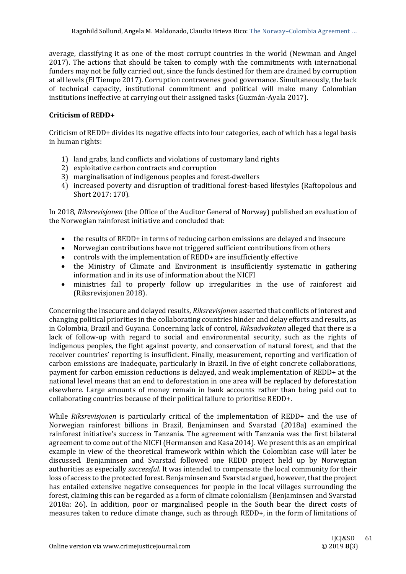average, classifying it as one of the most corrupt countries in the world (Newman and Angel 2017). The actions that should be taken to comply with the commitments with international funders may not be fully carried out, since the funds destined for them are drained by corruption at all levels (El Tiempo 2017). Corruption contravenes good governance. Simultaneously, the lack of technical capacity, institutional commitment and political will make many Colombian institutions ineffective at carrying out their assigned tasks (Guzmán-Ayala 2017).

# **Criticism of REDD+**

Criticism of REDD+ divides its negative effects into four categories, each of which has a legal basis in human rights:

- 1) land grabs, land conflicts and violations of customary land rights
- 2) exploitative carbon contracts and corruption
- 3) marginalisation of indigenous peoples and forest-dwellers
- 4) increased poverty and disruption of traditional forest-based lifestyles (Raftopolous and Short 2017: 170).

In 2018, *Riksrevisjonen* (the Office of the Auditor General of Norway) published an evaluation of the Norwegian rainforest initiative and concluded that:

- the results of REDD+ in terms of reducing carbon emissions are delayed and insecure
- Norwegian contributions have not triggered sufficient contributions from others
- controls with the implementation of REDD+ are insufficiently effective
- the Ministry of Climate and Environment is insufficiently systematic in gathering information and in its use of information about the NICFI
- ministries fail to properly follow up irregularities in the use of rainforest aid (Riksrevisjonen 2018).

Concerning the insecure and delayed results, *Riksrevisjonen* asserted that conflicts of interest and changing political priorities in the collaborating countries hinder and delay efforts and results, as in Colombia, Brazil and Guyana. Concerning lack of control, *Riksadvokaten* alleged that there is a lack of follow-up with regard to social and environmental security, such as the rights of indigenous peoples, the fight against poverty, and conservation of natural forest, and that the receiver countries' reporting is insufficient. Finally, measurement, reporting and verification of carbon emissions are inadequate, particularly in Brazil. In five of eight concrete collaborations, payment for carbon emission reductions is delayed, and weak implementation of REDD+ at the national level means that an end to deforestation in one area will be replaced by deforestation elsewhere. Large amounts of money remain in bank accounts rather than being paid out to collaborating countries because of their political failure to prioritise REDD+.

While *Riksrevisjonen* is particularly critical of the implementation of REDD+ and the use of Norwegian rainforest billions in Brazil, Benjaminsen and Svarstad (*2*018a) examined the rainforest initiative's success in Tanzania. The agreement with Tanzania was the first bilateral agreement to come out of the NICFI (Hermansen and Kasa 2014). We present this as an empirical example in view of the theoretical framework within which the Colombian case will later be discussed. Benjaminsen and Svarstad followed one REDD project held up by Norwegian authorities as especially *successful*. It was intended to compensate the local community for their loss of access to the protected forest. Benjaminsen and Svarstad argued, however, that the project has entailed extensive negative consequences for people in the local villages surrounding the forest, claiming this can be regarded as a form of climate colonialism (Benjaminsen and Svarstad 2018a: 26). In addition, poor or marginalised people in the South bear the direct costs of measures taken to reduce climate change, such as through REDD+, in the form of limitations of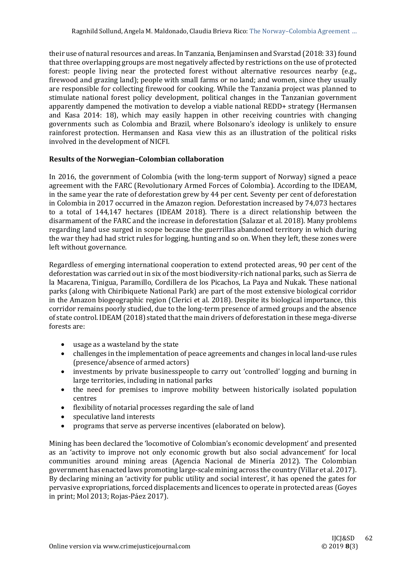their use of natural resources and areas. In Tanzania, Benjaminsen and Svarstad (2018: 33) found that three overlapping groups are most negatively affected by restrictions on the use of protected forest: people living near the protected forest without alternative resources nearby (e.g., firewood and grazing land); people with small farms or no land; and women, since they usually are responsible for collecting firewood for cooking. While the Tanzania project was planned to stimulate national forest policy development, political changes in the Tanzanian government apparently dampened the motivation to develop a viable national REDD+ strategy (Hermansen and Kasa 2014: 18), which may easily happen in other receiving countries with changing governments such as Colombia and Brazil, where Bolsonaro's ideology is unlikely to ensure rainforest protection. Hermansen and Kasa view this as an illustration of the political risks involved in the development of NICFI.

## **Results of the Norwegian–Colombian collaboration**

In 2016, the government of Colombia (with the long-term support of Norway) signed a peace agreement with the FARC (Revolutionary Armed Forces of Colombia). According to the IDEAM, in the same year the rate of deforestation grew by 44 per cent. Seventy per cent of deforestation in Colombia in 2017 occurred in the Amazon region. Deforestation increased by 74,073 hectares to a total of 144,147 hectares (IDEAM 2018). There is a direct relationship between the disarmament of the FARC and the increase in deforestation (Salazar et al. 2018). Many problems regarding land use surged in scope because the guerrillas abandoned territory in which during the war they had had strict rules for logging, hunting and so on. When they left, these zones were left without governance.

Regardless of emerging international cooperation to extend protected areas, 90 per cent of the deforestation was carried out in six of the most biodiversity-rich national parks, such as Sierra de la Macarena, Tinigua, Paramillo, Cordillera de los Picachos, La Paya and Nukak. These national parks (along with Chiribiquete National Park) are part of the most extensive biological corridor in the Amazon biogeographic region (Clerici et al. 2018). Despite its biological importance, this corridor remains poorly studied, due to the long-term presence of armed groups and the absence of state control. IDEAM (2018) stated that the main drivers of deforestation in these mega-diverse forests are:

- usage as a wasteland by the state
- challenges in the implementation of peace agreements and changes in local land-use rules (presence/absence of armed actors)
- investments by private businesspeople to carry out 'controlled' logging and burning in large territories, including in national parks
- the need for premises to improve mobility between historically isolated population centres
- flexibility of notarial processes regarding the sale of land
- speculative land interests
- programs that serve as perverse incentives (elaborated on below).

Mining has been declared the 'locomotive of Colombian's economic development' and presented as an 'activity to improve not only economic growth but also social advancement' for local communities around mining areas (Agencia Nacional de Minería 2012). The Colombian government has enacted laws promoting large-scale mining across the country (Villar et al. 2017). By declaring mining an 'activity for public utility and social interest', it has opened the gates for pervasive expropriations, forced displacements and licences to operate in protected areas (Goyes in print; Mol 2013; Rojas-Páez 2017).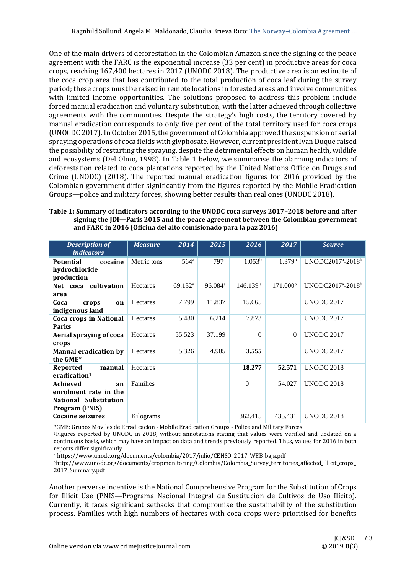One of the main drivers of deforestation in the Colombian Amazon since the signing of the peace agreement with the FARC is the exponential increase (33 per cent) in productive areas for coca crops, reaching 167,400 hectares in 2017 (UNODC 2018). The productive area is an estimate of the coca crop area that has contributed to the total production of coca leaf during the survey period; these crops must be raised in remote locations in forested areas and involve communities with limited income opportunities. The solutions proposed to address this problem include forced manual eradication and voluntary substitution, with the latter achieved through collective agreements with the communities. Despite the strategy's high costs, the territory covered by manual eradication corresponds to only five per cent of the total territory used for coca crops (UNOCDC 2017). In October 2015, the government of Colombia approved the suspension of aerial spraying operations of coca fields with glyphosate. However, current president Ivan Duque raised the possibility of restarting the spraying, despite the detrimental effects on human health, wildlife and ecosystems (Del Olmo, 1998). In Table 1 below, we summarise the alarming indicators of deforestation related to coca plantations reported by the United Nations Office on Drugs and Crime (UNODC) (2018). The reported manual eradication figures for 2016 provided by the Colombian government differ significantly from the figures reported by the Mobile Eradication Groups—police and military forces, showing better results than real ones (UNODC 2018).

| Table 1: Summary of indicators according to the UNODC coca surveys 2017-2018 before and after |
|-----------------------------------------------------------------------------------------------|
| signing the JDI-Paris 2015 and the peace agreement between the Colombian government           |
| and FARC in 2016 (Oficina del alto comisionado para la paz 2016)                              |

| <b>Description of</b><br><i>indicators</i>                                         | <b>Measure</b>  | 2014                | 2015                | 2016                 | 2017                 | <b>Source</b>                             |
|------------------------------------------------------------------------------------|-----------------|---------------------|---------------------|----------------------|----------------------|-------------------------------------------|
| <b>Potential</b><br>cocaine<br>hydrochloride<br>production                         | Metric tons     | $564$ <sup>a</sup>  | 797 <sup>a</sup>    | 1.053 <sup>b</sup>   | 1.379 <sup>b</sup>   | UNODC2017 <sup>a</sup> -2018 <sup>b</sup> |
| Net coca cultivation<br>area                                                       | <b>Hectares</b> | 69.132 <sup>a</sup> | 96.084 <sup>a</sup> | 146.139 <sup>a</sup> | 171.000 <sup>b</sup> | UNODC2017 <sup>a</sup> -2018 <sup>b</sup> |
| Coca<br>crops<br>on<br>indigenous land                                             | <b>Hectares</b> | 7.799               | 11.837              | 15.665               |                      | <b>UNODC 2017</b>                         |
| <b>Coca crops in National</b><br><b>Parks</b>                                      | Hectares        | 5.480               | 6.214               | 7.873                |                      | <b>UNODC 2017</b>                         |
| Aerial spraying of coca<br>crops                                                   | <b>Hectares</b> | 55.523              | 37.199              | $\Omega$             | $\Omega$             | <b>UNODC 2017</b>                         |
| <b>Manual eradication by</b><br>the GME*                                           | <b>Hectares</b> | 5.326               | 4.905               | 3.555                |                      | <b>UNODC 2017</b>                         |
| manual<br>Reported<br>eradication <sup>1</sup>                                     | Hectares        |                     |                     | 18.277               | 52.571               | <b>UNODC 2018</b>                         |
| Achieved<br>an<br>enrolment rate in the<br>National Substitution<br>Program (PNIS) | Families        |                     |                     | $\Omega$             | 54.027               | <b>UNODC 2018</b>                         |
| <b>Cocaine seizures</b>                                                            | Kilograms       |                     |                     | 362.415              | 435.431              | <b>UNODC 2018</b>                         |

\*GME: Grupos Moviles de Erradicacion - Mobile Eradication Groups - Police and Military Forces

<sup>1</sup>Figures reported by UNODC in 2018, without annotations stating that values were verified and updated on a continuous basis, which may have an impact on data and trends previously reported. Thus, values for 2016 in both reports differ significantly.

<sup>a</sup> https://www.unodc.org/documents/colombia/2017/julio/CENSO\_2017\_WEB\_baja.pdf

<sup>b</sup>http://www.unodc.org/documents/cropmonitoring/Colombia/Colombia\_Survey\_territories\_affected\_illicit\_crops\_ 2017\_Summary.pdf

Another perverse incentive is the National Comprehensive Program for the Substitution of Crops for Illicit Use (PNIS—Programa Nacional Integral de Sustitución de Cultivos de Uso Ilícito). Currently, it faces significant setbacks that compromise the sustainability of the substitution process. Families with high numbers of hectares with coca crops were prioritised for benefits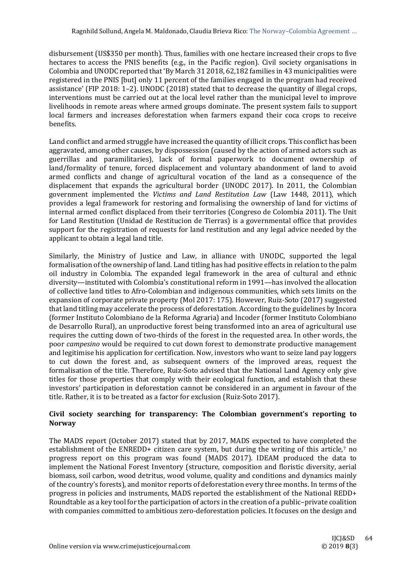disbursement (US\$350 per month). Thus, families with one hectare increased their crops to five hectares to access the PNIS benefits (e.g., in the Pacific region). Civil society organisations in Colombia and UNODC reported that 'By March 31 2018, 62,182 families in 43 municipalities were registered in the PNIS [but] only 11 percent of the families engaged in the program had received assistance' (FIP 2018: 1–2). UNODC (2018) stated that to decrease the quantity of illegal crops, interventions must be carried out at the local level rather than the municipal level to improve livelihoods in remote areas where armed groups dominate. The present system fails to support local farmers and increases deforestation when farmers expand their coca crops to receive benefits.

Land conflict and armed struggle have increased the quantity of illicit crops. This conflict has been aggravated, among other causes, by dispossession (caused by the action of armed actors such as guerrillas and paramilitaries), lack of formal paperwork to document ownership of land/formality of tenure, forced displacement and voluntary abandonment of land to avoid armed conflicts and change of agricultural vocation of the land as a consequence of the displacement that expands the agricultural border (UNODC 2017). In 2011, the Colombian government implemented the *Victims and Land Restitution Law* (Law 1448, 2011), which provides a legal framework for restoring and formalising the ownership of land for victims of internal armed conflict displaced from their territories (Congreso de Colombia 2011). The Unit for Land Restitution (Unidad de Restitucion de Tierras) is a governmental office that provides support for the registration of requests for land restitution and any legal advice needed by the applicant to obtain a legal land title.

Similarly, the Ministry of Justice and Law, in alliance with UNODC, supported the legal formalisation of the ownership of land. Land titling has had positive effects in relation to the palm oil industry in Colombia. The expanded legal framework in the area of cultural and ethnic diversity—instituted with Colombia's constitutional reform in 1991—has involved the allocation of collective land titles to Afro-Colombian and indigenous communities, which sets limits on the expansion of corporate private property (Mol 2017: 175). However, Ruiz-Soto (2017) suggested that land titling may accelerate the process of deforestation. According to the guidelines by Incora (former Instituto Colombiano de la Reforma Agraria) and Incoder (former Instituto Colombiano de Desarrollo Rural), an unproductive forest being transformed into an area of agricultural use requires the cutting down of two-thirds of the forest in the requested area. In other words, the poor *campesino* would be required to cut down forest to demonstrate productive management and legitimise his application for certification. Now, investors who want to seize land pay loggers to cut down the forest and, as subsequent owners of the improved areas, request the formalisation of the title. Therefore, Ruiz-Soto advised that the National Land Agency only give titles for those properties that comply with their ecological function, and establish that these investors' participation in deforestation cannot be considered in an argument in favour of the title. Rather, it is to be treated as a factor for exclusion (Ruiz-Soto 2017).

## **Civil society searching for transparency: The Colombian government's reporting to Norway**

The MADS report (October 2017) stated that by 2017, MADS expected to have completed the establishment of the ENREDD+ citizen care system, but during the writing of this article,<sup>7</sup> no progress report on this program was found (MADS 2017). IDEAM produced the data to implement the National Forest Inventory (structure, composition and floristic diversity, aerial biomass, soil carbon, wood detritus, wood volume, quality and conditions and dynamics mainly of the country's forests), and monitor reports of deforestation every three months. In terms of the progress in policies and instruments, MADS reported the establishment of the National REDD+ Roundtable as a key tool for the participation of actors in the creation of a public–private coalition with companies committed to ambitious zero-deforestation policies. It focuses on the design and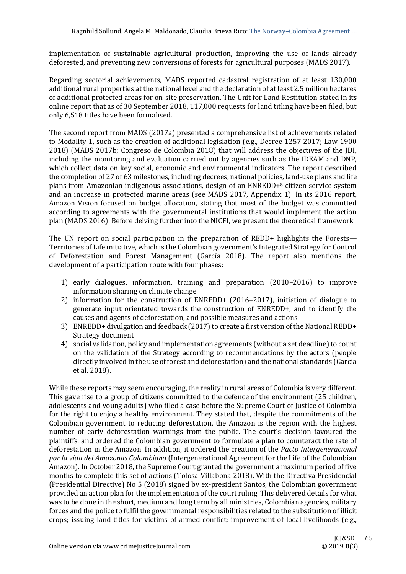implementation of sustainable agricultural production, improving the use of lands already deforested, and preventing new conversions of forests for agricultural purposes (MADS 2017).

Regarding sectorial achievements, MADS reported cadastral registration of at least 130,000 additional rural properties at the national level and the declaration of at least 2.5 million hectares of additional protected areas for on-site preservation. The Unit for Land Restitution stated in its online report that as of 30 September 2018, 117,000 requests for land titling have been filed, but only 6,518 titles have been formalised.

The second report from MADS (2017a) presented a comprehensive list of achievements related to Modality 1, such as the creation of additional legislation (e.g., Decree 1257 2017; Law 1900 2018) (MADS 2017b; Congreso de Colombia 2018) that will address the objectives of the JDI, including the monitoring and evaluation carried out by agencies such as the IDEAM and DNP, which collect data on key social, economic and environmental indicators. The report described the completion of 27 of 63 milestones, including decrees, national policies, land-use plans and life plans from Amazonian indigenous associations, design of an ENREDD+<sup>8</sup> citizen service system and an increase in protected marine areas (see MADS 2017, Appendix 1). In its 2016 report, Amazon Vision focused on budget allocation, stating that most of the budget was committed according to agreements with the governmental institutions that would implement the action plan (MADS 2016). Before delving further into the NICFI, we present the theoretical framework.

The UN report on social participation in the preparation of REDD+ highlights the Forests— Territories of Life initiative, which is the Colombian government's Integrated Strategy for Control of Deforestation and Forest Management (García 2018). The report also mentions the development of a participation route with four phases:

- 1) early dialogues, information, training and preparation (2010–2016) to improve information sharing on climate change
- 2) information for the construction of ENREDD+ (2016–2017), initiation of dialogue to generate input orientated towards the construction of ENREDD+, and to identify the causes and agents of deforestation, and possible measures and actions
- 3) ENREDD+ divulgation and feedback (2017) to create a first version of the National REDD+ Strategy document
- 4) social validation, policy and implementation agreements (without a set deadline) to count on the validation of the Strategy according to recommendations by the actors (people directly involved in the use of forest and deforestation) and the national standards (García et al. 2018).

While these reports may seem encouraging, the reality in rural areas of Colombia is very different. This gave rise to a group of citizens committed to the defence of the environment (25 children, adolescents and young adults) who filed a case before the Supreme Court of Justice of Colombia for the right to enjoy a healthy environment. They stated that, despite the commitments of the Colombian government to reducing deforestation, the Amazon is the region with the highest number of early deforestation warnings from the public. The court's decision favoured the plaintiffs, and ordered the Colombian government to formulate a plan to counteract the rate of deforestation in the Amazon. In addition, it ordered the creation of the *Pacto Intergeneracional por la vida del Amazonas Colombiano* (Intergenerational Agreement for the Life of the Colombian Amazon). In October 2018, the Supreme Court granted the government a maximum period of five months to complete this set of actions (Tolosa-Villabona 2018). With the Directiva Presidencial (Presidential Directive) No 5 (2018) signed by ex-president Santos, the Colombian government provided an action plan for the implementation of the court ruling. This delivered details for what was to be done in the short, medium and long term by all ministries, Colombian agencies, military forces and the police to fulfil the governmental responsibilities related to the substitution of illicit crops; issuing land titles for victims of armed conflict; improvement of local livelihoods (e.g.,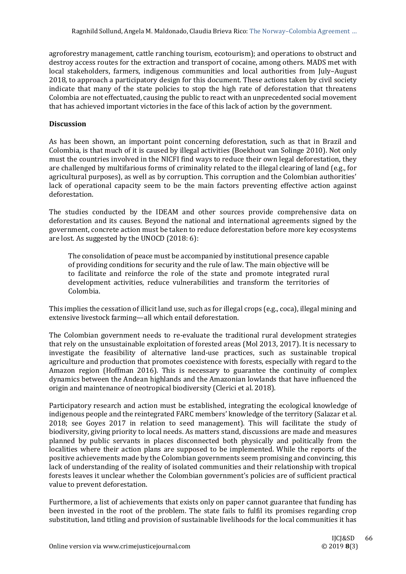agroforestry management, cattle ranching tourism, ecotourism); and operations to obstruct and destroy access routes for the extraction and transport of cocaine, among others. MADS met with local stakeholders, farmers, indigenous communities and local authorities from July–August 2018, to approach a participatory design for this document. These actions taken by civil society indicate that many of the state policies to stop the high rate of deforestation that threatens Colombia are not effectuated, causing the public to react with an unprecedented social movement that has achieved important victories in the face of this lack of action by the government.

## **Discussion**

As has been shown, an important point concerning deforestation, such as that in Brazil and Colombia, is that much of it is caused by illegal activities (Boekhout van Solinge 2010). Not only must the countries involved in the NICFI find ways to reduce their own legal deforestation, they are challenged by multifarious forms of criminality related to the illegal clearing of land (e.g., for agricultural purposes), as well as by corruption. This corruption and the Colombian authorities' lack of operational capacity seem to be the main factors preventing effective action against deforestation.

The studies conducted by the IDEAM and other sources provide comprehensive data on deforestation and its causes. Beyond the national and international agreements signed by the government, concrete action must be taken to reduce deforestation before more key ecosystems are lost. As suggested by the UNOCD (2018: 6):

The consolidation of peace must be accompanied by institutional presence capable of providing conditions for security and the rule of law. The main objective will be to facilitate and reinforce the role of the state and promote integrated rural development activities, reduce vulnerabilities and transform the territories of Colombia.

This implies the cessation of illicit land use, such as for illegal crops (e.g., coca), illegal mining and extensive livestock farming—all which entail deforestation.

The Colombian government needs to re-evaluate the traditional rural development strategies that rely on the unsustainable exploitation of forested areas (Mol 2013, 2017). It is necessary to investigate the feasibility of alternative land-use practices, such as sustainable tropical agriculture and production that promotes coexistence with forests, especially with regard to the Amazon region (Hoffman 2016). This is necessary to guarantee the continuity of complex dynamics between the Andean highlands and the Amazonian lowlands that have influenced the origin and maintenance of neotropical biodiversity (Clerici et al. 2018).

Participatory research and action must be established, integrating the ecological knowledge of indigenous people and the reintegrated FARC members' knowledge of the territory (Salazar et al. 2018; see Goyes 2017 in relation to seed management). This will facilitate the study of biodiversity, giving priority to local needs. As matters stand, discussions are made and measures planned by public servants in places disconnected both physically and politically from the localities where their action plans are supposed to be implemented. While the reports of the positive achievements made by the Colombian governments seem promising and convincing, this lack of understanding of the reality of isolated communities and their relationship with tropical forests leaves it unclear whether the Colombian government's policies are of sufficient practical value to prevent deforestation.

Furthermore, a list of achievements that exists only on paper cannot guarantee that funding has been invested in the root of the problem. The state fails to fulfil its promises regarding crop substitution, land titling and provision of sustainable livelihoods for the local communities it has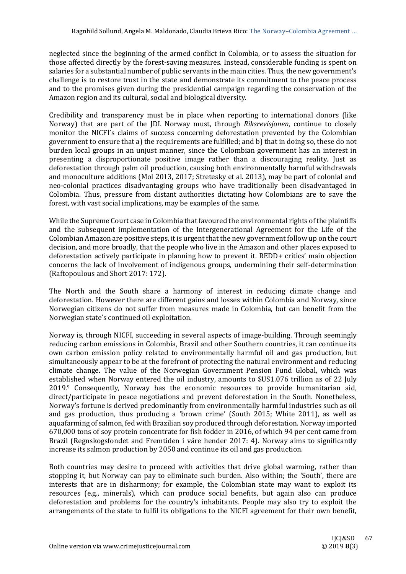neglected since the beginning of the armed conflict in Colombia, or to assess the situation for those affected directly by the forest-saving measures. Instead, considerable funding is spent on salaries for a substantial number of public servants in the main cities. Thus, the new government's challenge is to restore trust in the state and demonstrate its commitment to the peace process and to the promises given during the presidential campaign regarding the conservation of the Amazon region and its cultural, social and biological diversity.

Credibility and transparency must be in place when reporting to international donors (like Norway) that are part of the JDI. Norway must, through *Riksrevisjonen*, continue to closely monitor the NICFI's claims of success concerning deforestation prevented by the Colombian government to ensure that a) the requirements are fulfilled; and b) that in doing so, these do not burden local groups in an unjust manner, since the Colombian government has an interest in presenting a disproportionate positive image rather than a discouraging reality. Just as deforestation through palm oil production, causing both environmentally harmful withdrawals and monoculture additions (Mol 2013, 2017; Stretesky et al. 2013), may be part of colonial and neo-colonial practices disadvantaging groups who have traditionally been disadvantaged in Colombia. Thus, pressure from distant authorities dictating how Colombians are to save the forest, with vast social implications, may be examples of the same.

While the Supreme Court case in Colombia that favoured the environmental rights of the plaintiffs and the subsequent implementation of the Intergenerational Agreement for the Life of the Colombian Amazon are positive steps, it is urgent that the new government follow up on the court decision, and more broadly, that the people who live in the Amazon and other places exposed to deforestation actively participate in planning how to prevent it. REDD+ critics' main objection concerns the lack of involvement of indigenous groups, undermining their self-determination (Raftopoulous and Short 2017: 172).

The North and the South share a harmony of interest in reducing climate change and deforestation. However there are different gains and losses within Colombia and Norway, since Norwegian citizens do not suffer from measures made in Colombia, but can benefit from the Norwegian state's continued oil exploitation.

Norway is, through NICFI, succeeding in several aspects of image-building. Through seemingly reducing carbon emissions in Colombia, Brazil and other Southern countries, it can continue its own carbon emission policy related to environmentally harmful oil and gas production, but simultaneously appear to be at the forefront of protecting the natural environment and reducing climate change. The value of the Norwegian Government Pension Fund Global, which was established when Norway entered the oil industry, amounts to \$US1.076 trillion as of 22 July 2019. <sup>9</sup> Consequently, Norway has the economic resources to provide humanitarian aid, direct/participate in peace negotiations and prevent deforestation in the South. Nonetheless, Norway's fortune is derived predominantly from environmentally harmful industries such as oil and gas production, thus producing a 'brown crime' (South 2015; White 2011), as well as aquafarming of salmon, fed with Brazilian soy produced through deforestation. Norway imported 670,000 tons of soy protein concentrate for fish fodder in 2016, of which 94 per cent came from Brazil (Regnskogsfondet and Fremtiden i våre hender 2017: 4). Norway aims to significantly increase its salmon production by 2050 and continue its oil and gas production.

Both countries may desire to proceed with activities that drive global warming, rather than stopping it, but Norway can pay to eliminate such burden. Also within; the 'South', there are interests that are in disharmony; for example, the Colombian state may want to exploit its resources (e.g., minerals), which can produce social benefits, but again also can produce deforestation and problems for the country's inhabitants. People may also try to exploit the arrangements of the state to fulfil its obligations to the NICFI agreement for their own benefit,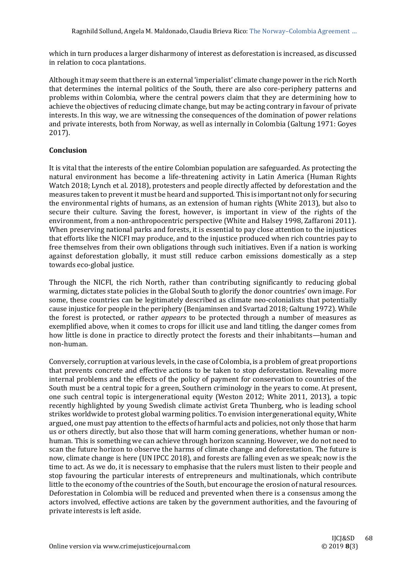which in turn produces a larger disharmony of interest as deforestation is increased, as discussed in relation to coca plantations.

Although it may seem that there is an external 'imperialist' climate change power in the rich North that determines the internal politics of the South, there are also core-periphery patterns and problems within Colombia, where the central powers claim that they are determining how to achieve the objectives of reducing climate change, but may be acting contrary in favour of private interests. In this way, we are witnessing the consequences of the domination of power relations and private interests, both from Norway, as well as internally in Colombia (Galtung 1971: Goyes 2017).

## **Conclusion**

It is vital that the interests of the entire Colombian population are safeguarded. As protecting the natural environment has become a life-threatening activity in Latin America (Human Rights Watch 2018; Lynch et al. 2018), protesters and people directly affected by deforestation and the measures taken to prevent it must be heard and supported. This is important not only for securing the environmental rights of humans, as an extension of human rights (White 2013), but also to secure their culture. Saving the forest, however, is important in view of the rights of the environment, from a non-anthropocentric perspective (White and Halsey 1998, Zaffaroni 2011). When preserving national parks and forests, it is essential to pay close attention to the injustices that efforts like the NICFI may produce, and to the injustice produced when rich countries pay to free themselves from their own obligations through such initiatives. Even if a nation is working against deforestation globally, it must still reduce carbon emissions domestically as a step towards eco-global justice.

Through the NICFI, the rich North, rather than contributing significantly to reducing global warming, dictates state policies in the Global South to glorify the donor countries' own image. For some, these countries can be legitimately described as climate neo-colonialists that potentially cause injustice for people in the periphery (Benjaminsen and Svartad 2018; Galtung 1972). While the forest is protected, or rather *appears* to be protected through a number of measures as exemplified above, when it comes to crops for illicit use and land titling, the danger comes from how little is done in practice to directly protect the forests and their inhabitants—human and non-human.

Conversely, corruption at various levels, in the case of Colombia, is a problem of great proportions that prevents concrete and effective actions to be taken to stop deforestation. Revealing more internal problems and the effects of the policy of payment for conservation to countries of the South must be a central topic for a green, Southern criminology in the years to come. At present, one such central topic is intergenerational equity (Weston 2012; White 2011, 2013), a topic recently highlighted by young Swedish climate activist Greta Thunberg, who is leading school strikes worldwide to protest global warming politics. To envision intergenerational equity, White argued, one must pay attention to the effects of harmful acts and policies, not only those that harm us or others directly, but also those that will harm coming generations, whether human or nonhuman. This is something we can achieve through horizon scanning. However, we do not need to scan the future horizon to observe the harms of climate change and deforestation. The future is now, climate change is here (UN IPCC 2018), and forests are falling even as we speak; now is the time to act. As we do, it is necessary to emphasise that the rulers must listen to their people and stop favouring the particular interests of entrepreneurs and multinationals, which contribute little to the economy of the countries of the South, but encourage the erosion of natural resources. Deforestation in Colombia will be reduced and prevented when there is a consensus among the actors involved, effective actions are taken by the government authorities, and the favouring of private interests is left aside.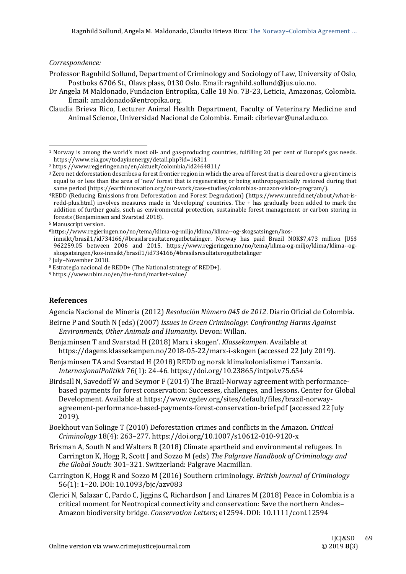## *Correspondence:*

-

- Professor Ragnhild Sollund, Department of Criminology and Sociology of Law, University of Oslo, Postboks 6706 St., Olavs plass, 0130 Oslo. Email: ragnhild.sollund@jus.uio.no.
- Dr Angela M Maldonado, Fundacion Entropika, Calle 18 No. 7B-23, Leticia, Amazonas, Colombia. Email: amaldonado@entropika.org.
- Claudia Brieva Rico, Lecturer Animal Health Department, Faculty of Veterinary Medicine and Animal Science, Universidad Nacional de Colombia. Email: cibrievar@unal.edu.co.

6https://www.regjeringen.no/no/tema/klima-og-miljo/klima/klima--og-skogsatsingen/kos-

<sup>7</sup> July–November 2018.

## **References**

Agencia Nacional de Minería (2012) *Resoluciòn Nùmero 045 de 2012*. Diario Oficial de Colombia.

Beirne P and South N (eds) (2007) *Issues in Green Criminology*: *Confronting Harms Against Environments, Other Animals and Humanity*. Devon: Willan.

- Benjaminsen T and Svarstad H (2018) Marx i skogen'. *Klassekampen*. Available at https://dagens.klassekampen.no/2018-05-22/marx-i-skogen (accessed 22 July 2019).
- Benjaminsen TA and Svarstad H (2018) REDD og norsk klimakolonialisme i Tanzania. *InternasjonalPolitikk* 76(1): 24-46. https://doi.org/10.23865/intpol.v75.654
- Birdsall N, Savedoff W and Seymor F (2014) The Brazil-Norway agreement with performancebased payments for forest conservation: Successes, challenges, and lessons. Center for Global Development. Available at https://www.cgdev.org/sites/default/files/brazil-norwayagreement-performance-based-payments-forest-conservation-brief.pdf (accessed 22 July 2019).
- Boekhout van Solinge T (2010) Deforestation crimes and conflicts in the Amazon. *Critical Criminology* 18(4): 263–277. https://doi.org/10.1007/s10612-010-9120-x
- Brisman A, South N and Walters R (2018) Climate apartheid and environmental refugees. In Carrington K, Hogg R, Scott J and Sozzo M (eds) *The Palgrave Handbook of Criminology and the Global South*: 301–321. Switzerland: Palgrave Macmillan.
- Carrington K, Hogg R and Sozzo M (2016) Southern criminology. *British Journal of Criminology*  56(1): 1–20. DOI: 10.1093/bjc/azv083
- Clerici N, Salazar C, Pardo C, Jiggins C, Richardson J and Linares M (2018) Peace in Colombia is a critical moment for Neotropical connectivity and conservation: Save the northern Andes– Amazon biodiversity bridge. *Conservation Letters*; e12594. DOI: 10.1111/conl.12594

<sup>1</sup> Norway is among the world's most oil- and gas-producing countries, fulfilling 20 per cent of Europe's gas needs. https://www.eia.gov/todayinenergy/detail.php?id=16311

<sup>2</sup> https://www.regjeringen.no/en/aktuelt/colombia/id2464811/

<sup>&</sup>lt;sup>3</sup> Zero net deforestation describes a forest frontier region in which the area of forest that is cleared over a given time is equal to or less than the area of 'new' forest that is regenerating or being anthropogenically restored during that same period (https://earthinnovation.org/our-work/case-studies/colombias-amazon-vision-program/).

<sup>4</sup>REDD (Reducing Emissions from Deforestation and Forest Degradation) (https://www.unredd.net/about/what-isredd-plus.html) involves measures made in 'developing' countries. The + has gradually been added to mark the addition of further goals, such as environmental protection, sustainable forest management or carbon storing in forests (Benjaminsen and Svarstad 2018).

<sup>5</sup> Manuscript version.

innsikt/brasil1/id734166/#brasilsresultaterogutbetalinger. Norway has paid Brazil NOK\$7,473 million [US\$ 962259.05 between 2006 and 2015. https://www.regjeringen.no/no/tema/klima-og-miljo/klima/klima--ogskogsatsingen/kos-innsikt/brasil1/id734166/#brasilsresultaterogutbetalinger

<sup>8</sup> Estrategía nacional de REDD+ (The National strategy of REDD+).

<sup>9</sup> https://www.nbim.no/en/the-fund/market-value/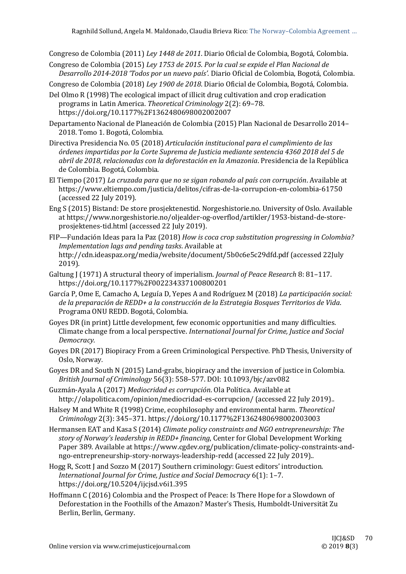Congreso de Colombia (2011) *Ley 1448 de 2011*. Diario Oficial de Colombia, Bogotá, Colombia.

Congreso de Colombia (2015) *Ley 1753 de 2015*. *Por la cual se expide el Plan Nacional de Desarrollo 2014-2018 'Todos por un nuevo país'.* Diario Oficial de Colombia, Bogotá, Colombia.

Congreso de Colombia (2018) *Ley 1900 de 2018*. Diario Oficial de Colombia, Bogotá, Colombia.

Del Olmo R (1998) The ecological impact of illicit drug cultivation and crop eradication programs in Latin America. *Theoretical Criminology* 2(2): 69–78. https://doi.org/10.1177%2F1362480698002002007

Departamento Nacional de Planeación de Colombia (2015) Plan Nacional de Desarrollo 2014– 2018. Tomo 1. Bogotá, Colombia.

Directiva Presidencia No. 05 (2018) *Articulación institucional para el cumplimiento de las órdenes impartidas por la Corte Suprema de Justicia mediante sentencia 4360 2018 del 5 de abril de 2018, relacionadas con la deforestación en la Amazonia*. Presidencia de la República de Colombia. Bogotá, Colombia.

El Tiempo (2017) *La cruzada para que no se sigan robando al país con corrupción*. Available at https://www.eltiempo.com/justicia/delitos/cifras-de-la-corrupcion-en-colombia-61750 (accessed 22 July 2019).

- Eng S (2015) Bistand: De store prosjektenestid. Norgeshistorie.no. University of Oslo. Available at https://www.norgeshistorie.no/oljealder-og-overflod/artikler/1953-bistand-de-storeprosjektenes-tid.html (accessed 22 July 2019).
- FIP—Fundación Ideas para la Paz (2018) *How is coca crop substitution progressing in Colombia? Implementation lags and pending tasks*. Available at http://cdn.ideaspaz.org/media/website/document/5b0c6e5c29dfd.pdf (accessed 22July 2019).
- Galtung J (1971) A structural theory of imperialism. *Journal of Peace Research* 8: 81–117. https://doi.org/10.1177%2F002234337100800201
- García P, Ome E, Camacho A, Leguía D, Yepes A and Rodríguez M (2018) *La participación social: de la preparación de REDD+ a la construcción de la Estrategia Bosques Territorios de Vida*. Programa ONU REDD. Bogotá, Colombia.
- Goyes DR (in print) Little development, few economic opportunities and many difficulties. Climate change from a local perspective. *International Journal for Crime, Justice and Social Democracy.*
- Goyes DR (2017) Biopiracy From a Green Criminological Perspective*.* PhD Thesis, University of Oslo, Norway*.*
- Goyes DR and South N (2015) Land-grabs, biopiracy and the inversion of justice in Colombia. *British Journal of Criminology* 56(3): 558–577. DOI: 10.1093/bjc/azv082

Guzmán-Ayala A (2017) *Mediocridad es corrupción*. Ola Política. Available at http://olapolitica.com/opinion/mediocridad-es-corrupcion/ (accessed 22 July 2019)..

- Halsey M and White R (1998) Crime, ecophilosophy and environmental harm. *Theoretical Criminology* 2(3): 345–371. https://doi.org/10.1177%2F1362480698002003003
- Hermansen EAT and Kasa S (2014) *Climate policy constraints and NGO entrepreneurship: The story of Norway's leadership in REDD+ financing*, Center for Global Development Working Paper 389. Available at https://www.cgdev.org/publication/climate-policy-constraints-andngo-entrepreneurship-story-norways-leadership-redd (accessed 22 July 2019)..
- Hogg R, Scott J and Sozzo M (2017) Southern criminology: Guest editors' introduction. *International Journal for Crime, Justice and Social Democracy* 6(1): 1–7. https://doi.org/10.5204/ijcjsd.v6i1.395
- Hoffmann C (2016) Colombia and the Prospect of Peace: Is There Hope for a Slowdown of Deforestation in the Foothills of the Amazon? Master's Thesis, Humboldt-Universität Zu Berlin, Berlin, Germany.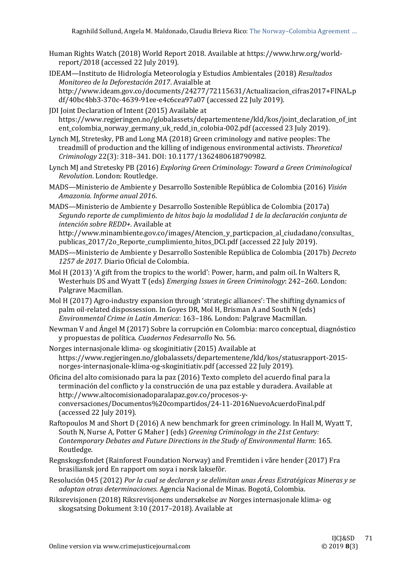- Human Rights Watch (2018) World Report 2018. Available at https://www.hrw.org/worldreport/2018 (accessed 22 July 2019).
- IDEAM—Instituto de Hidrología Meteorología y Estudios Ambientales (2018) *Resultados Monitoreo de la Deforestación 2017*. Avaialble at http://www.ideam.gov.co/documents/24277/72115631/Actualizacion\_cifras2017+FINAL.p df/40bc4bb3-370c-4639-91ee-e4c6cea97a07 (accessed 22 July 2019).
- JDI Joint Declaration of Intent (2015) Available at https://www.regjeringen.no/globalassets/departementene/kld/kos/joint\_declaration\_of\_int ent colombia norway germany uk redd in colobia-002.pdf (accessed 23 July 2019).
- Lynch MJ, Stretesky, PB and Long MA (2018) Green criminology and native peoples: The treadmill of production and the killing of indigenous environmental activists. *Theoretical Criminology* 22(3): 318–341. DOI: 10.1177/1362480618790982.
- Lynch MJ and Stretesky PB (2016) *Exploring Green Criminology: Toward a Green Criminological Revolution*. London: Routledge.
- MADS—Ministerio de Ambiente y Desarrollo Sostenible República de Colombia (2016) *Visión Amazonia. Informe anual 2016*.
- MADS—Ministerio de Ambiente y Desarrollo Sostenible República de Colombia (2017a) *Segundo reporte de cumplimiento de hitos bajo la modalidad 1 de la declaración conjunta de intención sobre REDD+.* Available at

http://www.minambiente.gov.co/images/Atencion\_y\_particpacion\_al\_ciudadano/consultas\_ publicas\_2017/2o\_Reporte\_cumplimiento\_hitos\_DCI.pdf (accessed 22 July 2019).

- MADS—Ministerio de Ambiente y Desarrollo Sostenible República de Colombia (2017b) *Decreto 1257 de 2017.* Diario Oficial de Colombia.
- Mol H (2013) 'A gift from the tropics to the world': Power, harm, and palm oil. In Walters R, Westerhuis DS and Wyatt T (eds) *Emerging Issues in Green Criminology*: 242–260. London: Palgrave Macmillan.
- Mol H (2017) Agro-industry expansion through 'strategic alliances': The shifting dynamics of palm oil-related dispossession. In Goyes DR, Mol H, Brisman A and South N (eds) *Environmental Crime in Latin America*: 163–186. London: Palgrave Macmillan.
- Newman V and Ángel M (2017) Sobre la corrupción en Colombia: marco conceptual, diagnóstico y propuestas de política. *Cuadernos Fedesarrollo* No. 56.
- Norges internasjonale klima- og skoginitiativ (2015) Available at https://www.regjeringen.no/globalassets/departementene/kld/kos/statusrapport-2015 norges-internasjonale-klima-og-skoginitiativ.pdf (accessed 22 July 2019).
- Oficina del alto comisionado para la paz (2016) Texto completo del acuerdo final para la terminación del conflicto y la construcción de una paz estable y duradera. Available at http://www.altocomisionadoparalapaz.gov.co/procesos-yconversaciones/Documentos%20compartidos/24-11-2016NuevoAcuerdoFinal.pdf (accessed 22 July 2019).
- Raftopoulos M and Short D (2016) A new benchmark for green criminology. In Hall M, Wyatt T, South N, Nurse A, Potter G Maher J (eds) *Greening Criminology in the 21st Century: Contemporary Debates and Future Directions in the Study of Environmental Harm*: 165. Routledge.
- Regnskogsfondet (Rainforest Foundation Norway) and Fremtiden i våre hender (2017) Fra brasiliansk jord En rapport om soya i norsk laksefôr.
- Resolución 045 (2012) *Por la cual se declaran y se delimitan unas Áreas Estratégicas Mineras y se adoptan otras determinaciones*. Agencia Nacional de Minas. Bogotá, Colombia.
- Riksrevisjonen (2018) Riksrevisjonens undersøkelse av Norges internasjonale klima- og skogsatsing Dokument 3:10 (2017–2018). Available at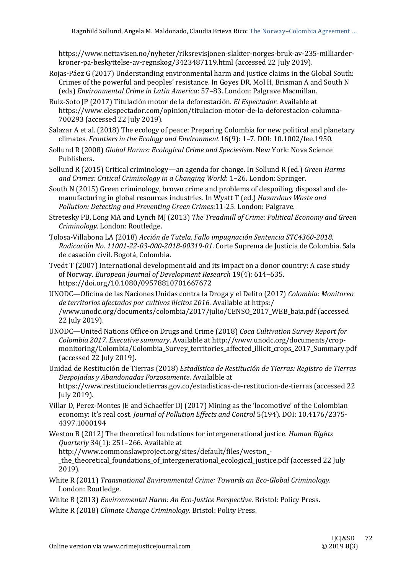https://www.nettavisen.no/nyheter/riksrevisjonen-slakter-norges-bruk-av-235-milliarderkroner-pa-beskyttelse-av-regnskog/3423487119.html (accessed 22 July 2019).

- Rojas-Páez G (2017) Understanding environmental harm and justice claims in the Global South: Crimes of the powerful and peoples' resistance. In Goyes DR, Mol H, Brisman A and South N (eds) *Environmental Crime in Latin America*: 57–83. London: Palgrave Macmillan.
- Ruiz-Soto JP (2017) Titulación motor de la deforestación. *El Espectador*. Available at https://www.elespectador.com/opinion/titulacion-motor-de-la-deforestacion-columna-700293 (accessed 22 July 2019).
- Salazar A et al. (2018) The ecology of peace: Preparing Colombia for new political and planetary climates. *Frontiers in the Ecology and Environment* 16(9): 1–7. DOI: 10.1002/fee.1950.
- Sollund R (2008) *Global Harms: Ecological Crime and Speciesism*. New York: Nova Science Publishers.
- Sollund R (2015) Critical criminology—an agenda for change. In Sollund R (ed.) *Green Harms and Crimes: Critical Criminology in a Changing World*: 1–26. London: Springer.
- South N (2015) Green criminology, brown crime and problems of despoiling, disposal and demanufacturing in global resources industries. In Wyatt T (ed.) *Hazardous Waste and Pollution: Detecting and Preventing Green Crimes*:11-25. London: Palgrave.
- Stretesky PB, Long MA and Lynch MJ (2013) *The Treadmill of Crime: Political Economy and Green Criminology*. London: Routledge.
- Tolosa-Villabona LA (2018) *Acción de Tutela. Fallo impugnación Sentencia STC4360-2018. Radicación No. 11001-22-03-000-2018-00319-01*. Corte Suprema de Justicia de Colombia. Sala de casación civil. Bogotá, Colombia.
- Tvedt T (2007) International development aid and its impact on a donor country: A case study of Norway. *European Journal of Development Research* 19(4): 614–635. https://doi.org/10.1080/09578810701667672
- UNODC—Oficina de las Naciones Unidas contra la Droga y el Delito (2017) *Colombia: Monitoreo de territorios afectados por cultivos ilícitos 2016*. Available at https:/ /www.unodc.org/documents/colombia/2017/julio/CENSO\_2017\_WEB\_baja.pdf (accessed 22 July 2019).
- UNODC—United Nations Office on Drugs and Crime (2018) *Coca Cultivation Survey Report for Colombia 2017. Executive summary*. Available at http://www.unodc.org/documents/cropmonitoring/Colombia/Colombia\_Survey\_territories\_affected\_illicit\_crops\_2017\_Summary.pdf (accessed 22 July 2019).
- Unidad de Restitución de Tierras (2018) *Estadística de Restitución de Tierras: Registro de Tierras Despojadas y Abandonadas Forzosamente*. Availalble at https://www.restituciondetierras.gov.co/estadisticas-de-restitucion-de-tierras (accessed 22 July 2019).
- Villar D, Perez-Montes JE and Schaeffer DJ (2017) Mining as the 'locomotive' of the Colombian economy: It's real cost. *Journal of Pollution Effects and Control* 5(194). DOI: 10.4176/2375- 4397.1000194
- Weston B (2012) The theoretical foundations for intergenerational justice. *Human Rights Quarterly* 34(1): 251–266. Available at

http://www.commonslawproject.org/sites/default/files/weston\_-

the theoretical foundations of intergenerational ecological justice.pdf (accessed 22 July 2019).

- White R (2011) *Transnational Environmental Crime: Towards an Eco-Global Criminology*. London: Routledge.
- White R (2013) *Environmental Harm: An Eco-Justice Perspective*. Bristol: Policy Press.
- White R (2018) *Climate Change Criminology*. Bristol: Polity Press.